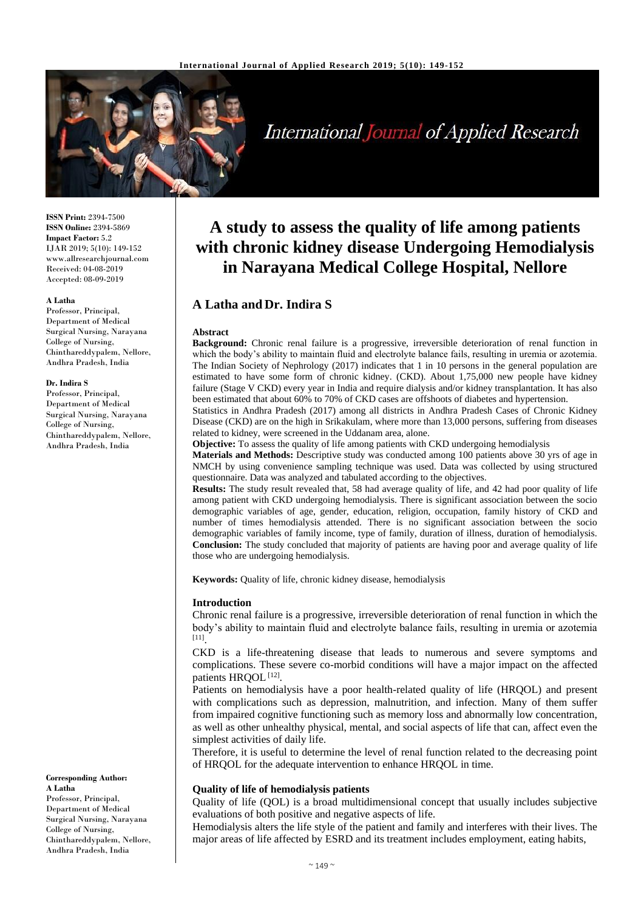

# **International Journal of Applied Research**

**ISSN Print:** 2394-7500 **ISSN Online:** 2394-5869 **Impact Factor:** 5.2 IJAR 2019; 5(10): 149-152 www.allresearchjournal.com Received: 04-08-2019 Accepted: 08-09-2019

#### **A Latha**

Professor, Principal, Department of Medical Surgical Nursing, Narayana College of Nursing, Chinthareddypalem, Nellore, Andhra Pradesh, India

#### **Dr. Indira S**

Professor, Principal, Department of Medical Surgical Nursing, Narayana College of Nursing, Chinthareddypalem, Nellore, Andhra Pradesh, India

**Corresponding Author: A Latha** Professor, Principal, Department of Medical

Surgical Nursing, Narayana College of Nursing, Chinthareddypalem, Nellore, Andhra Pradesh, India

## **A study to assess the quality of life among patients with chronic kidney disease Undergoing Hemodialysis in Narayana Medical College Hospital, Nellore**

## **A Latha and Dr. Indira S**

#### **Abstract**

**Background:** Chronic renal failure is a progressive, irreversible deterioration of renal function in which the body's ability to maintain fluid and electrolyte balance fails, resulting in uremia or azotemia. The Indian Society of Nephrology (2017) indicates that 1 in 10 persons in the general population are estimated to have some form of chronic kidney. [\(CKD\)](https://health.economictimes.indiatimes.com/tag/ckd). About 1,75,000 new people have kidney failure (Stage V CKD) every year in India and require dialysis and/or kidney transplantation. It has also been estimated that about 60% to 70% of CKD cases are offshoots of diabetes and hypertension.

Statistics in Andhra Pradesh (2017) among all districts in Andhra Pradesh Cases of Chronic Kidney Disease (CKD) are on the high in Srikakulam, where more than 13,000 persons, suffering from diseases related to kidney, were screened in the Uddanam area, alone.

**Objective:** To assess the quality of life among patients with CKD undergoing hemodialysis

**Materials and Methods:** Descriptive study was conducted among 100 patients above 30 yrs of age in NMCH by using convenience sampling technique was used. Data was collected by using structured questionnaire. Data was analyzed and tabulated according to the objectives.

**Results:** The study result revealed that, 58 had average quality of life, and 42 had poor quality of life among patient with CKD undergoing hemodialysis. There is significant association between the socio demographic variables of age, gender, education, religion, occupation, family history of CKD and number of times hemodialysis attended. There is no significant association between the socio demographic variables of family income, type of family, duration of illness, duration of hemodialysis. **Conclusion:** The study concluded that majority of patients are having poor and average quality of life those who are undergoing hemodialysis.

**Keywords:** Quality of life, chronic kidney disease, hemodialysis

#### **Introduction**

Chronic renal failure is a progressive, irreversible deterioration of renal function in which the body's ability to maintain fluid and electrolyte balance fails, resulting in uremia or azotemia [11] .

CKD is a life-threatening disease that leads to numerous and severe symptoms and complications. These severe co-morbid conditions will have a major impact on the affected patients HRQOL<sup>[12]</sup>.

Patients on hemodialysis have a poor health-related quality of life (HRQOL) and present with complications such as depression, malnutrition, and infection. Many of them suffer from impaired cognitive functioning such as memory loss and abnormally low concentration, as well as other unhealthy physical, mental, and social aspects of life that can, affect even the simplest activities of daily life.

Therefore, it is useful to determine the level of renal function related to the decreasing point of HRQOL for the adequate intervention to enhance HRQOL in time.

#### **Quality of life of hemodialysis patients**

Quality of life (QOL) is a broad multidimensional concept that usually includes subjective evaluations of both positive and negative aspects of life.

Hemodialysis alters the life style of the patient and family and interferes with their lives. The major areas of life affected by ESRD and its treatment includes employment, eating habits,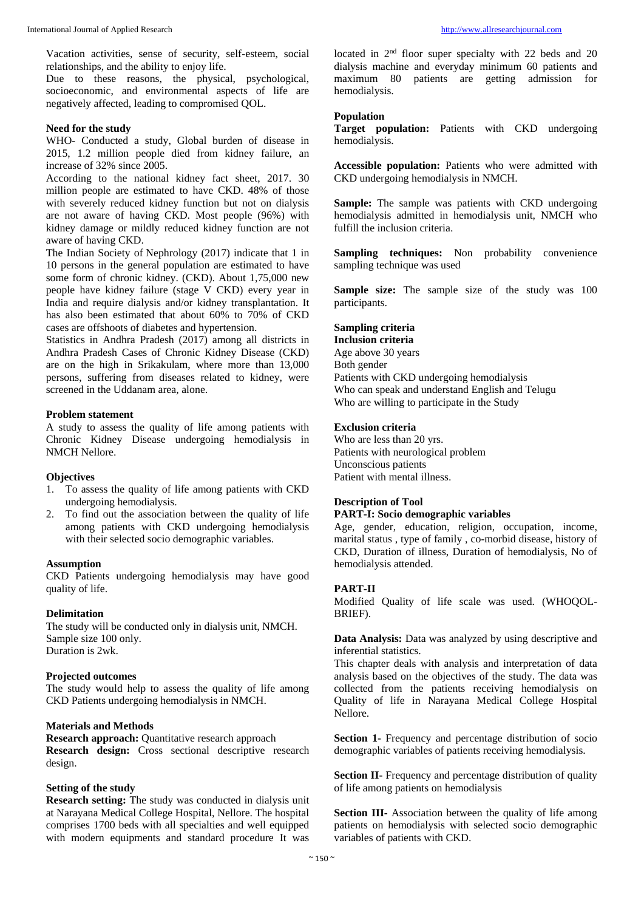Vacation activities, sense of security, self-esteem, social relationships, and the ability to enjoy life.

Due to these reasons, the physical, psychological, socioeconomic, and environmental aspects of life are negatively affected, leading to compromised QOL.

## **Need for the study**

WHO- Conducted a study, Global burden of disease in 2015, 1.2 million people died from kidney failure, an increase of 32% since 2005.

According to the national kidney fact sheet, 2017. 30 million people are estimated to have CKD. 48% of those with severely reduced kidney function but not on dialysis are not aware of having CKD. Most people (96%) with kidney damage or mildly reduced kidney function are not aware of having CKD.

The Indian Society of Nephrology (2017) indicate that 1 in 10 persons in the general population are estimated to have some form of chronic kidney. (CKD). About 1,75,000 new people have kidney failure (stage V CKD) every year in India and require dialysis and/or kidney transplantation. It has also been estimated that about 60% to 70% of CKD cases are offshoots of diabetes and hypertension.

Statistics in Andhra Pradesh (2017) among all districts in Andhra Pradesh Cases of Chronic Kidney Disease (CKD) are on the high in Srikakulam, where more than 13,000 persons, suffering from diseases related to kidney, were screened in the Uddanam area, alone.

#### **Problem statement**

A study to assess the quality of life among patients with Chronic Kidney Disease undergoing hemodialysis in NMCH Nellore.

#### **Objectives**

- 1. To assess the quality of life among patients with CKD undergoing hemodialysis.
- 2. To find out the association between the quality of life among patients with CKD undergoing hemodialysis with their selected socio demographic variables.

#### **Assumption**

CKD Patients undergoing hemodialysis may have good quality of life.

## **Delimitation**

The study will be conducted only in dialysis unit, NMCH. Sample size 100 only. Duration is 2wk.

#### **Projected outcomes**

The study would help to assess the quality of life among CKD Patients undergoing hemodialysis in NMCH.

#### **Materials and Methods**

**Research approach:** Quantitative research approach **Research design:** Cross sectional descriptive research design.

## **Setting of the study**

**Research setting:** The study was conducted in dialysis unit at Narayana Medical College Hospital, Nellore. The hospital comprises 1700 beds with all specialties and well equipped with modern equipments and standard procedure It was

located in  $2<sup>nd</sup>$  floor super specialty with 22 beds and 20 dialysis machine and everyday minimum 60 patients and maximum 80 patients are getting admission for hemodialysis.

## **Population**

**Target population:** Patients with CKD undergoing hemodialysis.

**Accessible population:** Patients who were admitted with CKD undergoing hemodialysis in NMCH.

**Sample:** The sample was patients with CKD undergoing hemodialysis admitted in hemodialysis unit, NMCH who fulfill the inclusion criteria.

**Sampling techniques:** Non probability convenience sampling technique was used

**Sample size:** The sample size of the study was 100 participants.

#### **Sampling criteria**

#### **Inclusion criteria**

Age above 30 years Both gender Patients with CKD undergoing hemodialysis Who can speak and understand English and Telugu Who are willing to participate in the Study

#### **Exclusion criteria**

Who are less than 20 yrs. Patients with neurological problem Unconscious patients Patient with mental illness.

## **Description of Tool PART-I: Socio demographic variables**

Age, gender, education, religion, occupation, income, marital status , type of family , co-morbid disease, history of CKD, Duration of illness, Duration of hemodialysis, No of hemodialysis attended.

#### **PART-II**

Modified Quality of life scale was used. (WHOQOL-BRIEF).

**Data Analysis:** Data was analyzed by using descriptive and inferential statistics.

This chapter deals with analysis and interpretation of data analysis based on the objectives of the study. The data was collected from the patients receiving hemodialysis on Quality of life in Narayana Medical College Hospital Nellore.

**Section 1-** Frequency and percentage distribution of socio demographic variables of patients receiving hemodialysis.

**Section II-** Frequency and percentage distribution of quality of life among patients on hemodialysis

**Section III-** Association between the quality of life among patients on hemodialysis with selected socio demographic variables of patients with CKD.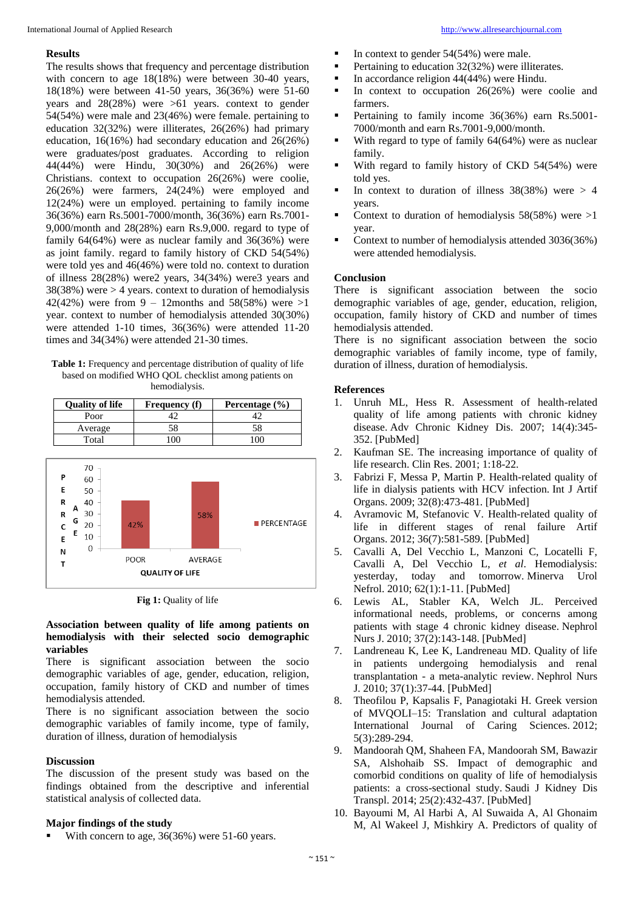#### **Results**

The results shows that frequency and percentage distribution with concern to age 18(18%) were between 30-40 years, 18(18%) were between 41-50 years, 36(36%) were 51-60 years and 28(28%) were >61 years. context to gender 54(54%) were male and 23(46%) were female. pertaining to education 32(32%) were illiterates, 26(26%) had primary education, 16(16%) had secondary education and 26(26%) were graduates/post graduates. According to religion 44(44%) were Hindu, 30(30%) and 26(26%) were Christians. context to occupation 26(26%) were coolie, 26(26%) were farmers, 24(24%) were employed and 12(24%) were un employed. pertaining to family income 36(36%) earn Rs.5001-7000/month, 36(36%) earn Rs.7001- 9,000/month and 28(28%) earn Rs.9,000. regard to type of family 64(64%) were as nuclear family and 36(36%) were as joint family. regard to family history of CKD 54(54%) were told yes and 46(46%) were told no. context to duration of illness 28(28%) were2 years, 34(34%) were3 years and 38(38%) were > 4 years. context to duration of hemodialysis 42(42%) were from 9 – 12months and 58(58%) were  $>1$ year. context to number of hemodialysis attended 30(30%) were attended 1-10 times, 36(36%) were attended 11-20 times and 34(34%) were attended 21-30 times.

**Table 1:** Frequency and percentage distribution of quality of life based on modified WHO QOL checklist among patients on hemodialysis.

| <b>Quality of life</b> | <b>Frequency</b> (f) | Percentage (%) |
|------------------------|----------------------|----------------|
| Poor                   |                      |                |
| Average                |                      | 58             |
| Total                  |                      |                |



**Fig 1:** Quality of life

#### **Association between quality of life among patients on hemodialysis with their selected socio demographic variables**

There is significant association between the socio demographic variables of age, gender, education, religion, occupation, family history of CKD and number of times hemodialysis attended.

There is no significant association between the socio demographic variables of family income, type of family, duration of illness, duration of hemodialysis

#### **Discussion**

The discussion of the present study was based on the findings obtained from the descriptive and inferential statistical analysis of collected data.

## **Major findings of the study**

With concern to age, 36(36%) were 51-60 years.

- In context to gender  $54(54%)$  were male.
- Pertaining to education 32(32%) were illiterates.
- In accordance religion  $44(44%)$  were Hindu.
- In context to occupation  $26(26%)$  were coolie and farmers.
- Pertaining to family income 36(36%) earn Rs.5001- 7000/month and earn Rs.7001-9,000/month.
- With regard to type of family 64(64%) were as nuclear family.
- With regard to family history of CKD 54(54%) were told yes.
- In context to duration of illness  $38(38%)$  were  $> 4$ years.
- Context to duration of hemodialysis  $58(58%)$  were  $>1$ year.
- Context to number of hemodialysis attended 3036(36%) were attended hemodialysis.

## **Conclusion**

There is significant association between the socio demographic variables of age, gender, education, religion, occupation, family history of CKD and number of times hemodialysis attended.

There is no significant association between the socio demographic variables of family income, type of family, duration of illness, duration of hemodialysis.

## **References**

- 1. Unruh ML, Hess R. Assessment of health-related quality of life among patients with chronic kidney disease. Adv Chronic Kidney Dis. 2007; 14(4):345- 352. [PubMed]
- 2. Kaufman SE. The increasing importance of quality of life research. Clin Res. 2001; 1:18-22.
- 3. Fabrizi F, Messa P, Martin P. Health-related quality of life in dialysis patients with HCV infection. Int J Artif Organs. 2009; 32(8):473-481. [PubMed]
- 4. Avramovic M, Stefanovic V. Health-related quality of life in different stages of renal failure Artif Organs. 2012; 36(7):581-589. [PubMed]
- 5. Cavalli A, Del Vecchio L, Manzoni C, Locatelli F, Cavalli A, Del Vecchio L, *et al*. Hemodialysis: yesterday, today and tomorrow. Minerva Urol Nefrol. 2010; 62(1):1-11. [PubMed]
- 6. Lewis AL, Stabler KA, Welch JL. Perceived informational needs, problems, or concerns among patients with stage 4 chronic kidney disease. Nephrol Nurs J. 2010; 37(2):143-148. [PubMed]
- 7. Landreneau K, Lee K, Landreneau MD. Quality of life in patients undergoing hemodialysis and renal transplantation - a meta-analytic review. Nephrol Nurs J. 2010; 37(1):37-44. [PubMed]
- 8. Theofilou P, Kapsalis F, Panagiotaki H. Greek version of MVQOLI–15: Translation and cultural adaptation International Journal of Caring Sciences. 2012; 5(3):289-294.
- 9. Mandoorah QM, Shaheen FA, Mandoorah SM, Bawazir SA, Alshohaib SS. Impact of demographic and comorbid conditions on quality of life of hemodialysis patients: a cross-sectional study. Saudi J Kidney Dis Transpl. 2014; 25(2):432-437. [PubMed]
- 10. Bayoumi M, Al Harbi A, Al Suwaida A, Al Ghonaim M, Al Wakeel J, Mishkiry A. Predictors of quality of